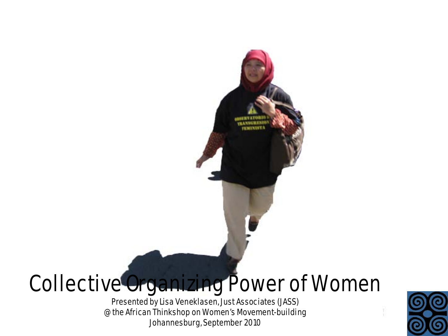# Collective Organizing Power of Women

Presented by Lisa Veneklasen, Just Associates (JASS) @ the African Thinkshop on Women's Movement-building Johannesburg, September 2010

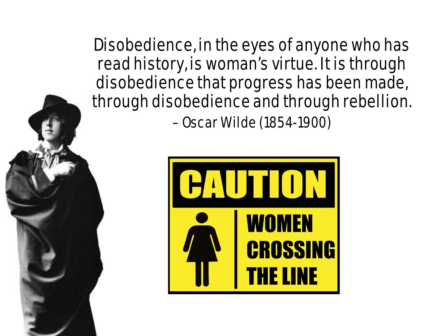Disobedience, in the eyes of anyone who has read history, is woman's virtue. It is through disobedience that progress has been made, through disobedience and through rebellion. – Oscar Wilde (1854-1900)

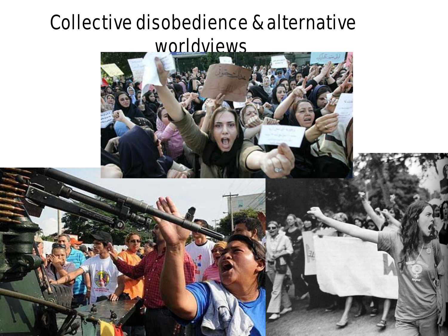#### Collective disobedience & alternative worldviews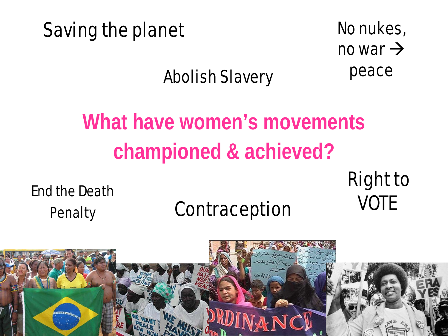#### Saving the planet No nukes,

no war  $\rightarrow$ peace

#### Abolish Slavery

# **What have women's movements championed & achieved?**

End the Death<br>Denalty **Contraception** VOTE

# Penalty **Contraception**

# Right to

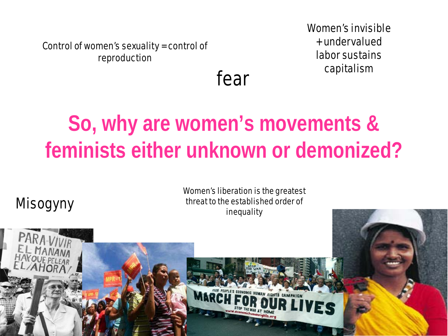Control of women's sexuality = control of reproduction

Women's invisible + undervalued labor sustains capitalism

fear

## **So, why are women's movements & feminists either unknown or demonized?**

#### Misogyny

Women's liberation is the greatest threat to the established order of inequality

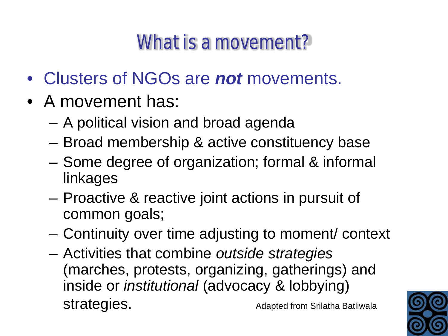#### What is a movement?

- Clusters of NGOs are *not* movements.
- A movement has:
	- A political vision and broad agenda
	- Broad membership & active constituency base
	- Some degree of organization; formal & informal linkages
	- Proactive & reactive joint actions in pursuit of common goals;
	- Continuity over time adjusting to moment/ context
	- Activities that combine *outside strategies* (marches, protests, organizing, gatherings) and inside or *institutional* (advocacy & lobbying) **Strategies.** Adapted from Srilatha Batliwala

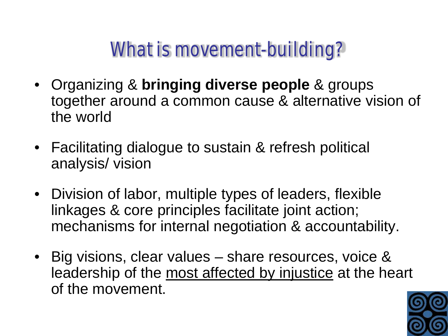#### What is movement-building?

- Organizing & **bringing diverse people** & groups together around a common cause & alternative vision of the world
- Facilitating dialogue to sustain & refresh political analysis/ vision
- Division of labor, multiple types of leaders, flexible linkages & core principles facilitate joint action; mechanisms for internal negotiation & accountability.
- Big visions, clear values share resources, voice & leadership of the most affected by injustice at the heart of the movement.

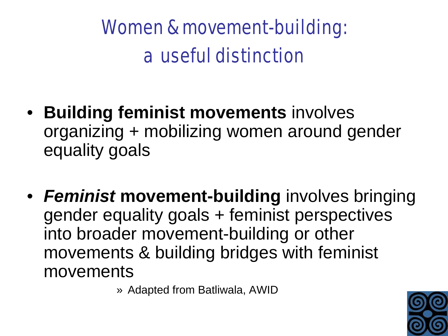# Women & movement-building: a useful distinction

- **Building feminist movements** involves organizing + mobilizing women around gender equality goals
- *Feminist* **movement-building** involves bringing gender equality goals + feminist perspectives into broader movement-building or other movements & building bridges with feminist movements

» Adapted from Batliwala, AWID

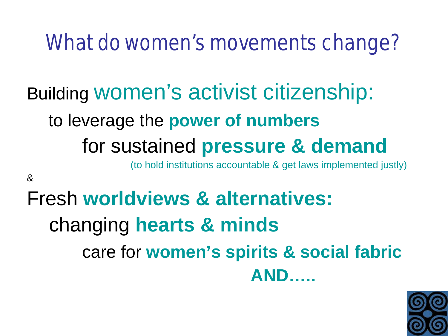### What do women's movements change?

# Building women's activist citizenship: to leverage the **power of numbers** for sustained **pressure & demand**

(to hold institutions accountable & get laws implemented justly)

&

#### Fresh **worldviews & alternatives:** changing **hearts & minds** care for **women's spirits & social fabric AND…..**

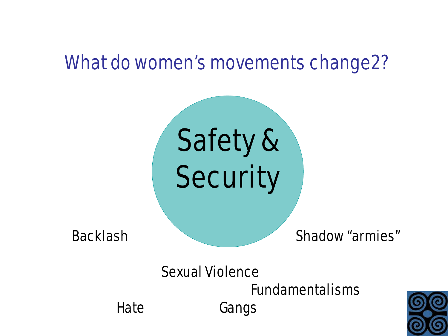#### What do women's movements change2?

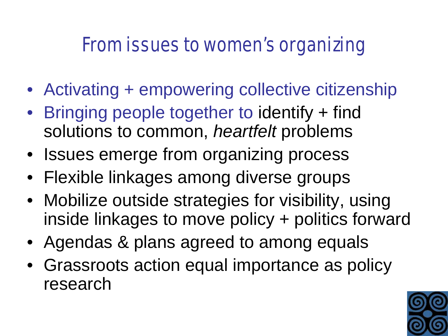#### From issues to women's organizing

- Activating + empowering collective citizenship
- Bringing people together to identify + find solutions to common, *heartfelt* problems
- Issues emerge from organizing process
- Flexible linkages among diverse groups
- Mobilize outside strategies for visibility, using inside linkages to move policy + politics forward
- Agendas & plans agreed to among equals
- Grassroots action equal importance as policy research

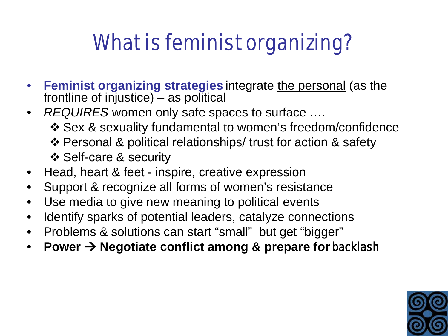# What is feminist organizing?

- **Feminist organizing strategies** integrate the personal (as the frontline of injustice)  $-$  as political
- *REQUIRES* women only safe spaces to surface ….
	- Sex & sexuality fundamental to women's freedom/confidence
	- Personal & political relationships/ trust for action & safety
	- Self-care & security
- Head, heart & feet inspire, creative expression
- Support & recognize all forms of women's resistance
- Use media to give new meaning to political events
- Identify sparks of potential leaders, catalyze connections
- Problems & solutions can start "small" but get "bigger"
- Power  $\rightarrow$  Negotiate conflict among & prepare for **backlash**

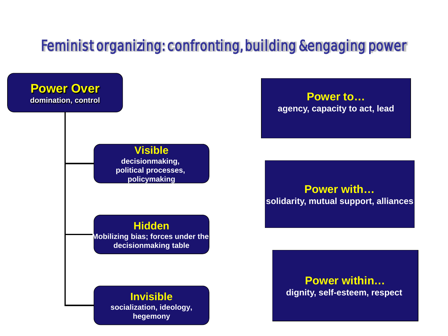#### Feminist organizing: confronting, building &engaging power

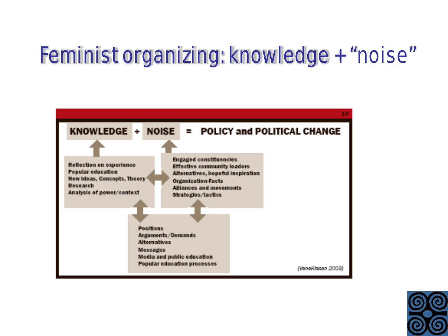# Feminist organizing: knowledge + "noise"



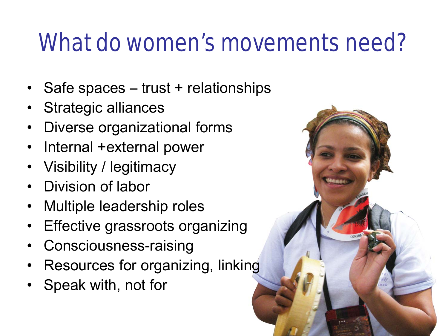# What do women's movements need?

- Safe spaces trust + relationships
- Strategic alliances
- Diverse organizational forms
- Internal +external power
- Visibility / legitimacy
- Division of labor
- Multiple leadership roles
- **Effective grassroots organizing**
- Consciousness-raising
- Resources for organizing, linking
- Speak with, not for